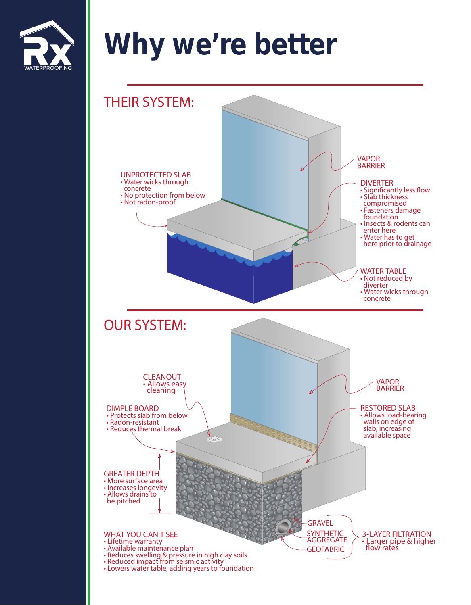

## Why we're better